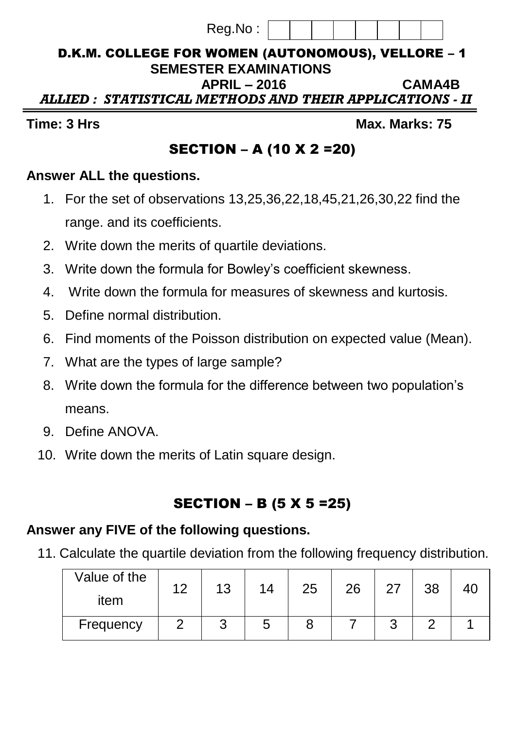#### D.K.M. COLLEGE FOR WOMEN (AUTONOMOUS), VELLORE – 1  **SEMESTER EXAMINATIONS APRIL – 2016 CAMA4B**   *ALLIED : STATISTICAL METHODS AND THEIR APPLICATIONS - II*

Reg.No :

**Time: 3** Hrs Max. Marks: 75

# SECTION – A (10 X 2 =20)

#### **Answer ALL the questions.**

- 1. For the set of observations 13,25,36,22,18,45,21,26,30,22 find the range. and its coefficients.
- 2. Write down the merits of quartile deviations.
- 3. Write down the formula for Bowley's coefficient skewness.
- 4. Write down the formula for measures of skewness and kurtosis.
- 5. Define normal distribution.
- 6. Find moments of the Poisson distribution on expected value (Mean).
- 7. What are the types of large sample?
- 8. Write down the formula for the difference between two population's means.
- 9. Define ANOVA.
- 10. Write down the merits of Latin square design.

# SECTION – B (5 X 5 =25)

### **Answer any FIVE of the following questions.**

11. Calculate the quartile deviation from the following frequency distribution.

| Value of the | ィっ | 13 | 14     | 25 | 26 | 27 | 38 |  |
|--------------|----|----|--------|----|----|----|----|--|
| item         |    |    |        |    |    |    |    |  |
| Frequency    |    |    | ∽<br>w |    |    | ັ  |    |  |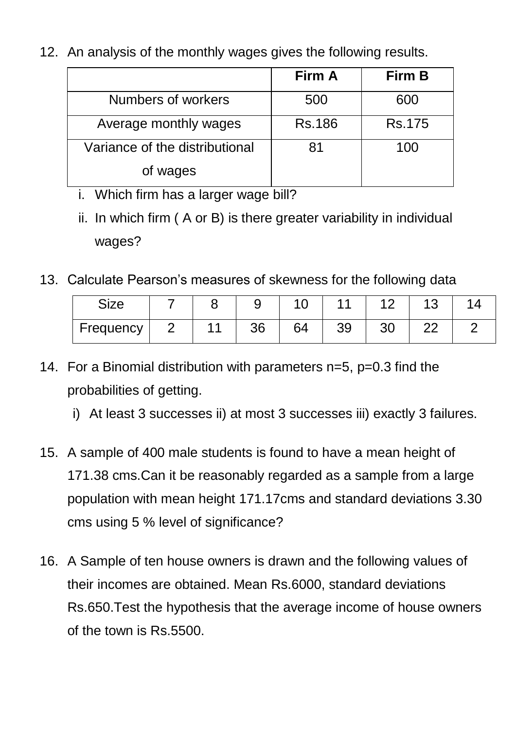12. An analysis of the monthly wages gives the following results.

|                                | Firm A | Firm B        |
|--------------------------------|--------|---------------|
| Numbers of workers             | 500    | 600           |
| Average monthly wages          | Rs.186 | <b>Rs.175</b> |
| Variance of the distributional | 81     | 100           |
| of wages                       |        |               |

- i. Which firm has a larger wage bill?
- ii. In which firm ( A or B) is there greater variability in individual wages?
- 13. Calculate Pearson's measures of skewness for the following data

| Size      |  |    |    |          |    |  |
|-----------|--|----|----|----------|----|--|
| Frequency |  | 26 | 64 | ാറ<br>აყ | חר |  |

- 14. For a Binomial distribution with parameters n=5, p=0.3 find the probabilities of getting.
	- i) At least 3 successes ii) at most 3 successes iii) exactly 3 failures.
- 15. A sample of 400 male students is found to have a mean height of 171.38 cms.Can it be reasonably regarded as a sample from a large population with mean height 171.17cms and standard deviations 3.30 cms using 5 % level of significance?
- 16. A Sample of ten house owners is drawn and the following values of their incomes are obtained. Mean Rs.6000, standard deviations Rs.650.Test the hypothesis that the average income of house owners of the town is Rs.5500.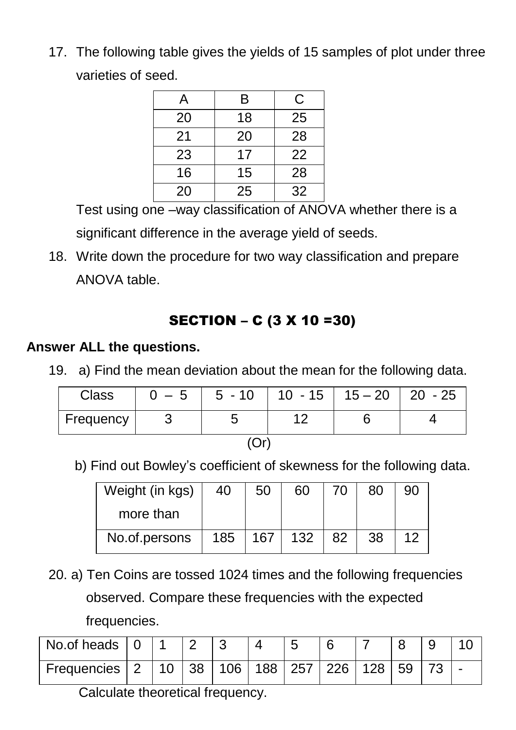17. The following table gives the yields of 15 samples of plot under three varieties of seed.

| A  | B  | С  |
|----|----|----|
| 20 | 18 | 25 |
| 21 | 20 | 28 |
| 23 | 17 | 22 |
| 16 | 15 | 28 |
| 20 | 25 | 32 |

Test using one –way classification of ANOVA whether there is a significant difference in the average yield of seeds.

18. Write down the procedure for two way classification and prepare ANOVA table.

## SECTION – C (3 X 10 =30)

### **Answer ALL the questions.**

19. a) Find the mean deviation about the mean for the following data.

| Class     | $-5$ | $5 - 10$ |  | $10 - 15$   $15 - 20$   20 - 25 |  |  |  |  |  |
|-----------|------|----------|--|---------------------------------|--|--|--|--|--|
| Frequency |      |          |  |                                 |  |  |  |  |  |
|           |      |          |  |                                 |  |  |  |  |  |

b) Find out Bowley's coefficient of skewness for the following data.

| Weight (in kgs) | 40  | 50  | 60  |    | 80 | 90 |
|-----------------|-----|-----|-----|----|----|----|
| more than       |     |     |     |    |    |    |
| No.of.persons   | 185 | 167 | 132 | 82 | 38 |    |

20. a) Ten Coins are tossed 1024 times and the following frequencies observed. Compare these frequencies with the expected frequencies.

| No.of heads     |    |    |     |                       |  |    |  |
|-----------------|----|----|-----|-----------------------|--|----|--|
| Frequencies   2 | 10 | 38 | 106 | 188   257   226   128 |  | 59 |  |

Calculate theoretical frequency.